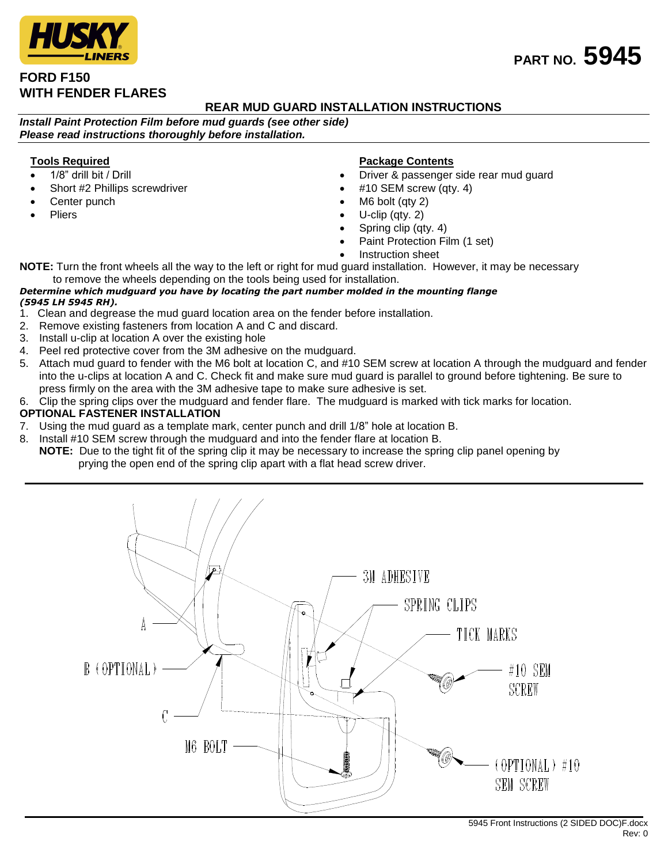# **FORD F150 WITH FENDER FLARES**

## **REAR MUD GUARD INSTALLATION INSTRUCTIONS**

*Install Paint Protection Film before mud guards (see other side) Please read instructions thoroughly before installation.*

### **Tools Required**

- 1/8" drill bit / Drill
- Short #2 Phillips screwdriver
- Center punch
- Pliers

#### **Package Contents**

- Driver & passenger side rear mud guard
- #10 SEM screw (qty. 4)
- M6 bolt (qty 2)
- U-clip (qty. 2)
- Spring clip (qty. 4)
- Paint Protection Film (1 set)
- Instruction sheet

**NOTE:** Turn the front wheels all the way to the left or right for mud guard installation. However, it may be necessary to remove the wheels depending on the tools being used for installation.

#### *Determine which mudguard you have by locating the part number molded in the mounting flange (5945 LH 5945 RH).*

- 1. Clean and degrease the mud guard location area on the fender before installation.
- 2. Remove existing fasteners from location A and C and discard.
- 3. Install u-clip at location A over the existing hole
- 4. Peel red protective cover from the 3M adhesive on the mudguard.
- 5. Attach mud guard to fender with the M6 bolt at location C, and #10 SEM screw at location A through the mudguard and fender into the u-clips at location A and C. Check fit and make sure mud guard is parallel to ground before tightening. Be sure to press firmly on the area with the 3M adhesive tape to make sure adhesive is set.
- 6. Clip the spring clips over the mudguard and fender flare. The mudguard is marked with tick marks for location.

#### **OPTIONAL FASTENER INSTALLATION**

- 7. Using the mud guard as a template mark, center punch and drill 1/8" hole at location B.
- 8. Install #10 SEM screw through the mudguard and into the fender flare at location B.
	- **NOTE:** Due to the tight fit of the spring clip it may be necessary to increase the spring clip panel opening by prying the open end of the spring clip apart with a flat head screw driver.